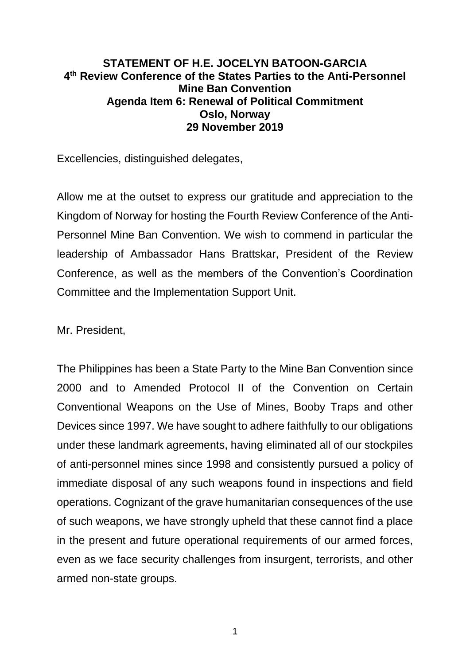## **STATEMENT OF H.E. JOCELYN BATOON-GARCIA 4 th Review Conference of the States Parties to the Anti-Personnel Mine Ban Convention Agenda Item 6: Renewal of Political Commitment Oslo, Norway 29 November 2019**

Excellencies, distinguished delegates,

Allow me at the outset to express our gratitude and appreciation to the Kingdom of Norway for hosting the Fourth Review Conference of the Anti-Personnel Mine Ban Convention. We wish to commend in particular the leadership of Ambassador Hans Brattskar, President of the Review Conference, as well as the members of the Convention's Coordination Committee and the Implementation Support Unit.

Mr. President,

The Philippines has been a State Party to the Mine Ban Convention since 2000 and to Amended Protocol II of the Convention on Certain Conventional Weapons on the Use of Mines, Booby Traps and other Devices since 1997. We have sought to adhere faithfully to our obligations under these landmark agreements, having eliminated all of our stockpiles of anti-personnel mines since 1998 and consistently pursued a policy of immediate disposal of any such weapons found in inspections and field operations. Cognizant of the grave humanitarian consequences of the use of such weapons, we have strongly upheld that these cannot find a place in the present and future operational requirements of our armed forces, even as we face security challenges from insurgent, terrorists, and other armed non-state groups.

1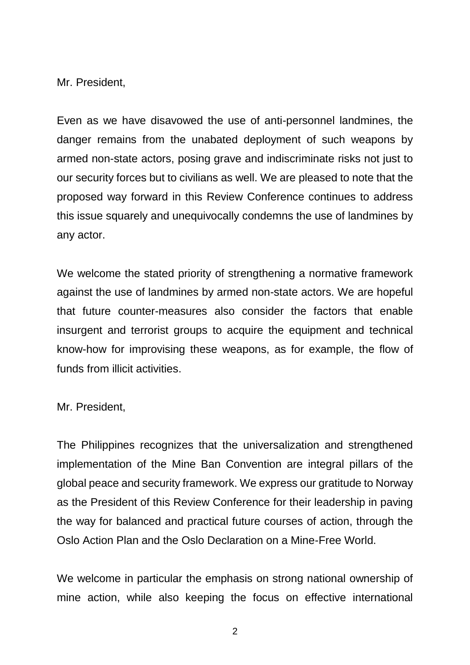Mr. President,

Even as we have disavowed the use of anti-personnel landmines, the danger remains from the unabated deployment of such weapons by armed non-state actors, posing grave and indiscriminate risks not just to our security forces but to civilians as well. We are pleased to note that the proposed way forward in this Review Conference continues to address this issue squarely and unequivocally condemns the use of landmines by any actor.

We welcome the stated priority of strengthening a normative framework against the use of landmines by armed non-state actors. We are hopeful that future counter-measures also consider the factors that enable insurgent and terrorist groups to acquire the equipment and technical know-how for improvising these weapons, as for example, the flow of funds from illicit activities.

Mr. President,

The Philippines recognizes that the universalization and strengthened implementation of the Mine Ban Convention are integral pillars of the global peace and security framework. We express our gratitude to Norway as the President of this Review Conference for their leadership in paving the way for balanced and practical future courses of action, through the Oslo Action Plan and the Oslo Declaration on a Mine-Free World.

We welcome in particular the emphasis on strong national ownership of mine action, while also keeping the focus on effective international

2